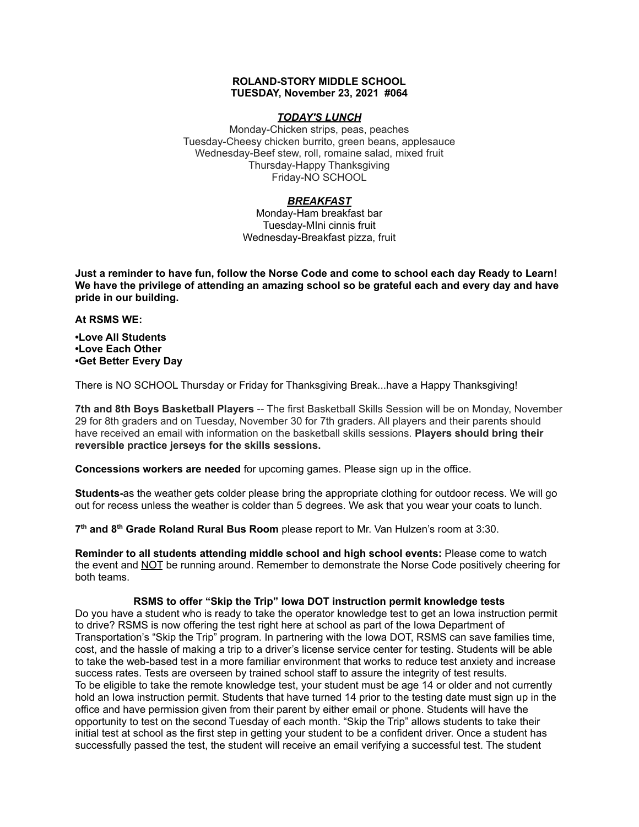### **ROLAND-STORY MIDDLE SCHOOL TUESDAY, November 23, 2021 #064**

# *TODAY'S LUNCH*

Monday-Chicken strips, peas, peaches Tuesday-Cheesy chicken burrito, green beans, applesauce Wednesday-Beef stew, roll, romaine salad, mixed fruit Thursday-Happy Thanksgiving Friday-NO SCHOOL

# *BREAKFAST*

Monday-Ham breakfast bar Tuesday-MIni cinnis fruit Wednesday-Breakfast pizza, fruit

Just a reminder to have fun, follow the Norse Code and come to school each day Ready to Learn! **We have the privilege of attending an amazing school so be grateful each and every day and have pride in our building.**

### **At RSMS WE:**

**•Love All Students •Love Each Other •Get Better Every Day**

There is NO SCHOOL Thursday or Friday for Thanksgiving Break...have a Happy Thanksgiving!

**7th and 8th Boys Basketball Players** -- The first Basketball Skills Session will be on Monday, November 29 for 8th graders and on Tuesday, November 30 for 7th graders. All players and their parents should have received an email with information on the basketball skills sessions. **Players should bring their reversible practice jerseys for the skills sessions.**

**Concessions workers are needed** for upcoming games. Please sign up in the office.

**Students-**as the weather gets colder please bring the appropriate clothing for outdoor recess. We will go out for recess unless the weather is colder than 5 degrees. We ask that you wear your coats to lunch.

**7 th and 8 th Grade Roland Rural Bus Room** please report to Mr. Van Hulzen's room at 3:30.

**Reminder to all students attending middle school and high school events:** Please come to watch the event and NOT be running around. Remember to demonstrate the Norse Code positively cheering for both teams.

# **RSMS to offer "Skip the Trip" Iowa DOT instruction permit knowledge tests**

Do you have a student who is ready to take the operator knowledge test to get an Iowa instruction permit to drive? RSMS is now offering the test right here at school as part of the Iowa Department of Transportation's "Skip the Trip" program. In partnering with the Iowa DOT, RSMS can save families time, cost, and the hassle of making a trip to a driver's license service center for testing. Students will be able to take the web-based test in a more familiar environment that works to reduce test anxiety and increase success rates. Tests are overseen by trained school staff to assure the integrity of test results. To be eligible to take the remote knowledge test, your student must be age 14 or older and not currently hold an Iowa instruction permit. Students that have turned 14 prior to the testing date must sign up in the office and have permission given from their parent by either email or phone. Students will have the opportunity to test on the second Tuesday of each month. "Skip the Trip" allows students to take their initial test at school as the first step in getting your student to be a confident driver. Once a student has successfully passed the test, the student will receive an email verifying a successful test. The student